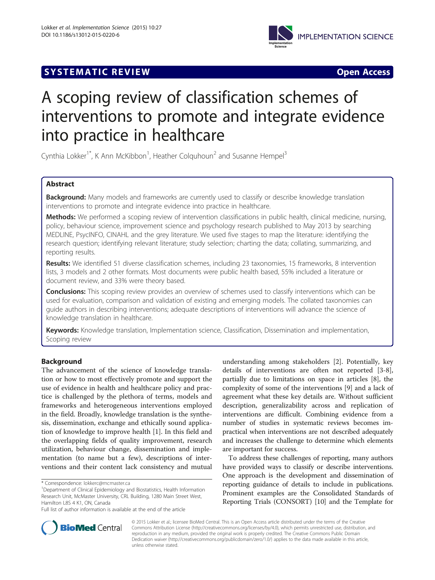



# A scoping review of classification schemes of interventions to promote and integrate evidence into practice in healthcare

Cynthia Lokker<sup>1\*</sup>, K Ann McKibbon<sup>1</sup>, Heather Colquhoun<sup>2</sup> and Susanne Hempel<sup>3</sup>

# Abstract

Background: Many models and frameworks are currently used to classify or describe knowledge translation interventions to promote and integrate evidence into practice in healthcare.

Methods: We performed a scoping review of intervention classifications in public health, clinical medicine, nursing, policy, behaviour science, improvement science and psychology research published to May 2013 by searching MEDLINE, PsycINFO, CINAHL and the grey literature. We used five stages to map the literature: identifying the research question; identifying relevant literature; study selection; charting the data; collating, summarizing, and reporting results.

Results: We identified 51 diverse classification schemes, including 23 taxonomies, 15 frameworks, 8 intervention lists, 3 models and 2 other formats. Most documents were public health based, 55% included a literature or document review, and 33% were theory based.

Conclusions: This scoping review provides an overview of schemes used to classify interventions which can be used for evaluation, comparison and validation of existing and emerging models. The collated taxonomies can guide authors in describing interventions; adequate descriptions of interventions will advance the science of knowledge translation in healthcare.

Keywords: Knowledge translation, Implementation science, Classification, Dissemination and implementation, Scoping review

# Background

The advancement of the science of knowledge translation or how to most effectively promote and support the use of evidence in health and healthcare policy and practice is challenged by the plethora of terms, models and frameworks and heterogeneous interventions employed in the field. Broadly, knowledge translation is the synthesis, dissemination, exchange and ethically sound application of knowledge to improve health [\[1](#page-10-0)]. In this field and the overlapping fields of quality improvement, research utilization, behaviour change, dissemination and implementation (to name but a few), descriptions of interventions and their content lack consistency and mutual

understanding among stakeholders [[2](#page-10-0)]. Potentially, key details of interventions are often not reported [[3-8](#page-10-0)], partially due to limitations on space in articles [\[8](#page-10-0)], the complexity of some of the interventions [[9\]](#page-10-0) and a lack of agreement what these key details are. Without sufficient description, generalizability across and replication of interventions are difficult. Combining evidence from a number of studies in systematic reviews becomes impractical when interventions are not described adequately and increases the challenge to determine which elements are important for success.

To address these challenges of reporting, many authors have provided ways to classify or describe interventions. One approach is the development and dissemination of reporting guidance of details to include in publications. Prominent examples are the Consolidated Standards of Reporting Trials (CONSORT) [\[10\]](#page-10-0) and the Template for



© 2015 Lokker et al.; licensee BioMed Central. This is an Open Access article distributed under the terms of the Creative Commons Attribution License [\(http://creativecommons.org/licenses/by/4.0\)](http://creativecommons.org/licenses/by/4.0), which permits unrestricted use, distribution, and reproduction in any medium, provided the original work is properly credited. The Creative Commons Public Domain Dedication waiver [\(http://creativecommons.org/publicdomain/zero/1.0/](http://creativecommons.org/publicdomain/zero/1.0/)) applies to the data made available in this article, unless otherwise stated.

<sup>\*</sup> Correspondence: [lokkerc@mcmaster.ca](mailto:lokkerc@mcmaster.ca) <sup>1</sup>

Department of Clinical Epidemiology and Biostatistics, Health Information Research Unit, McMaster University, CRL Building, 1280 Main Street West, Hamilton L8S 4 K1, ON, Canada

Full list of author information is available at the end of the article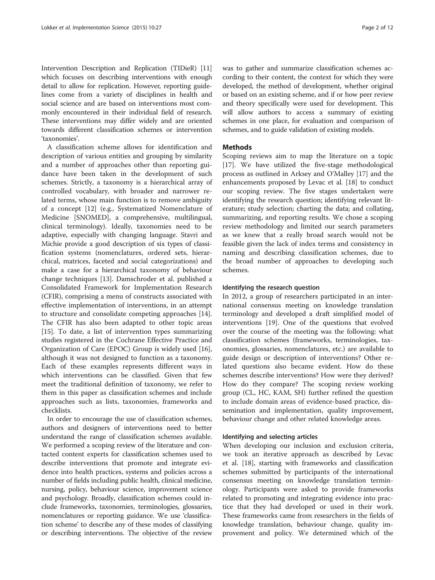Intervention Description and Replication (TIDieR) [[11](#page-10-0)] which focuses on describing interventions with enough detail to allow for replication. However, reporting guidelines come from a variety of disciplines in health and social science and are based on interventions most commonly encountered in their individual field of research. These interventions may differ widely and are oriented towards different classification schemes or intervention 'taxonomies'.

A classification scheme allows for identification and description of various entities and grouping by similarity and a number of approaches other than reporting guidance have been taken in the development of such schemes. Strictly, a taxonomy is a hierarchical array of controlled vocabulary, with broader and narrower related terms, whose main function is to remove ambiguity of a concept [\[12](#page-10-0)] (e.g., Systematized Nomenclature of Medicine [SNOMED], a comprehensive, multilingual, clinical terminology). Ideally, taxonomies need to be adaptive, especially with changing language. Stavri and Michie provide a good description of six types of classification systems (nomenclatures, ordered sets, hierarchical, matrices, faceted and social categorizations) and make a case for a hierarchical taxonomy of behaviour change techniques [\[13](#page-10-0)]. Damschroder et al. published a Consolidated Framework for Implementation Research (CFIR), comprising a menu of constructs associated with effective implementation of interventions, in an attempt to structure and consolidate competing approaches [\[14](#page-10-0)]. The CFIR has also been adapted to other topic areas [[15\]](#page-10-0). To date, a list of intervention types summarizing studies registered in the Cochrane Effective Practice and Organization of Care (EPOC) Group is widely used [\[16](#page-10-0)], although it was not designed to function as a taxonomy. Each of these examples represents different ways in which interventions can be classified. Given that few meet the traditional definition of taxonomy, we refer to them in this paper as classification schemes and include approaches such as lists, taxonomies, frameworks and checklists.

In order to encourage the use of classification schemes, authors and designers of interventions need to better understand the range of classification schemes available. We performed a scoping review of the literature and contacted content experts for classification schemes used to describe interventions that promote and integrate evidence into health practices, systems and policies across a number of fields including public health, clinical medicine, nursing, policy, behaviour science, improvement science and psychology. Broadly, classification schemes could include frameworks, taxonomies, terminologies, glossaries, nomenclatures or reporting guidance. We use 'classification scheme' to describe any of these modes of classifying or describing interventions. The objective of the review was to gather and summarize classification schemes according to their content, the context for which they were developed, the method of development, whether original or based on an existing scheme, and if or how peer review and theory specifically were used for development. This will allow authors to access a summary of existing schemes in one place, for evaluation and comparison of schemes, and to guide validation of existing models.

# **Methods**

Scoping reviews aim to map the literature on a topic [[17\]](#page-10-0). We have utilized the five-stage methodological process as outlined in Arksey and O'Malley [\[17\]](#page-10-0) and the enhancements proposed by Levac et al. [[18](#page-10-0)] to conduct our scoping review. The five stages undertaken were identifying the research question; identifying relevant literature; study selection; charting the data; and collating, summarizing, and reporting results. We chose a scoping review methodology and limited our search parameters as we knew that a really broad search would not be feasible given the lack of index terms and consistency in naming and describing classification schemes, due to the broad number of approaches to developing such schemes.

### Identifying the research question

In 2012, a group of researchers participated in an international consensus meeting on knowledge translation terminology and developed a draft simplified model of interventions [\[19\]](#page-10-0). One of the questions that evolved over the course of the meeting was the following: what classification schemes (frameworks, terminologies, taxonomies, glossaries, nomenclatures, etc.) are available to guide design or description of interventions? Other related questions also became evident. How do these schemes describe interventions? How were they derived? How do they compare? The scoping review working group (CL, HC, KAM, SH) further refined the question to include domain areas of evidence-based practice, dissemination and implementation, quality improvement, behaviour change and other related knowledge areas.

## Identifying and selecting articles

When developing our inclusion and exclusion criteria, we took an iterative approach as described by Levac et al. [[18](#page-10-0)], starting with frameworks and classification schemes submitted by participants of the international consensus meeting on knowledge translation terminology. Participants were asked to provide frameworks related to promoting and integrating evidence into practice that they had developed or used in their work. These frameworks came from researchers in the fields of knowledge translation, behaviour change, quality improvement and policy. We determined which of the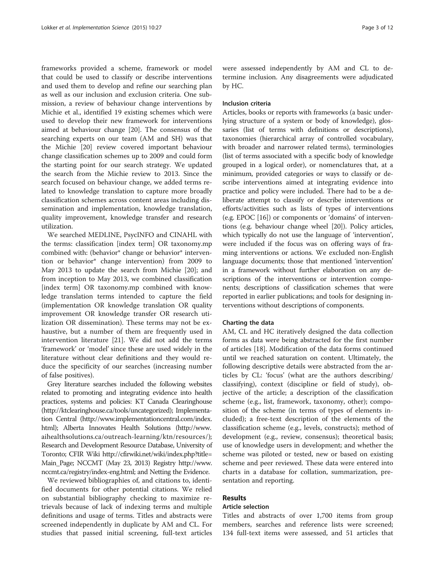frameworks provided a scheme, framework or model that could be used to classify or describe interventions and used them to develop and refine our searching plan as well as our inclusion and exclusion criteria. One submission, a review of behaviour change interventions by Michie et al., identified 19 existing schemes which were used to develop their new framework for interventions aimed at behaviour change [[20\]](#page-10-0). The consensus of the searching experts on our team (AM and SH) was that the Michie [\[20](#page-10-0)] review covered important behaviour change classification schemes up to 2009 and could form the starting point for our search strategy. We updated the search from the Michie review to 2013. Since the search focused on behaviour change, we added terms related to knowledge translation to capture more broadly classification schemes across content areas including dissemination and implementation, knowledge translation, quality improvement, knowledge transfer and research utilization.

We searched MEDLINE, PsycINFO and CINAHL with the terms: classification [index term] OR taxonomy.mp combined with: (behavior\* change or behavior\* intervention or behavior\* change intervention) from 2009 to May 2013 to update the search from Michie [[20\]](#page-10-0); and from inception to May 2013, we combined classification [index term] OR taxonomy.mp combined with knowledge translation terms intended to capture the field (implementation OR knowledge translation OR quality improvement OR knowledge transfer OR research utilization OR dissemination). These terms may not be exhaustive, but a number of them are frequently used in intervention literature [\[21](#page-10-0)]. We did not add the terms 'framework' or 'model' since these are used widely in the literature without clear definitions and they would reduce the specificity of our searches (increasing number of false positives).

Grey literature searches included the following websites related to promoting and integrating evidence into health practices, systems and policies: KT Canada Clearinghouse (<http://ktclearinghouse.ca/tools/uncategorized>); Implementation Central ([http://www.implementationcentral.com/index.](http://www.implementationcentral.com/index.html) [html\)](http://www.implementationcentral.com/index.html); Alberta Innovates Health Solutions [\(http://www.](http://www.aihealthsolutions.ca/outreach-learning/ktn/resources/) [aihealthsolutions.ca/outreach-learning/ktn/resources/](http://www.aihealthsolutions.ca/outreach-learning/ktn/resources/)); Research and Development Resource Database, University of Toronto; CFIR Wiki [http://cfirwiki.net/wiki/index.php?title=](http://cfirwiki.net/wiki/index.php?title=Main_Page) [Main\\_Page](http://cfirwiki.net/wiki/index.php?title=Main_Page); NCCMT (May 23, 2013) Registry [http://www.](http://www.nccmt.ca/registry/index-eng.html) [nccmt.ca/registry/index-eng.html;](http://www.nccmt.ca/registry/index-eng.html) and Netting the Evidence.

We reviewed bibliographies of, and citations to, identified documents for other potential citations. We relied on substantial bibliography checking to maximize retrievals because of lack of indexing terms and multiple definitions and usage of terms. Titles and abstracts were screened independently in duplicate by AM and CL. For studies that passed initial screening, full-text articles

were assessed independently by AM and CL to determine inclusion. Any disagreements were adjudicated by HC.

## Inclusion criteria

Articles, books or reports with frameworks (a basic underlying structure of a system or body of knowledge), glossaries (list of terms with definitions or descriptions), taxonomies (hierarchical array of controlled vocabulary, with broader and narrower related terms), terminologies (list of terms associated with a specific body of knowledge grouped in a logical order), or nomenclatures that, at a minimum, provided categories or ways to classify or describe interventions aimed at integrating evidence into practice and policy were included. There had to be a deliberate attempt to classify or describe interventions or efforts/activities such as lists of types of interventions (e.g. EPOC [\[16\]](#page-10-0)) or components or 'domains' of interventions (e.g. behaviour change wheel [\[20\]](#page-10-0)). Policy articles, which typically do not use the language of 'intervention', were included if the focus was on offering ways of framing interventions or actions. We excluded non-English language documents; those that mentioned 'intervention' in a framework without further elaboration on any descriptions of the interventions or intervention components; descriptions of classification schemes that were reported in earlier publications; and tools for designing interventions without descriptions of components.

### Charting the data

AM, CL and HC iteratively designed the data collection forms as data were being abstracted for the first number of articles [[18\]](#page-10-0). Modification of the data forms continued until we reached saturation on content. Ultimately, the following descriptive details were abstracted from the articles by CL: 'focus' (what are the authors describing/ classifying), context (discipline or field of study), objective of the article; a description of the classification scheme (e.g., list, framework, taxonomy, other); composition of the scheme (in terms of types of elements included); a free-text description of the elements of the classification scheme (e.g., levels, constructs); method of development (e.g., review, consensus); theoretical basis; use of knowledge users in development; and whether the scheme was piloted or tested, new or based on existing scheme and peer reviewed. These data were entered into charts in a database for collation, summarization, presentation and reporting.

# Results

# Article selection

Titles and abstracts of over 1,700 items from group members, searches and reference lists were screened; 134 full-text items were assessed, and 51 articles that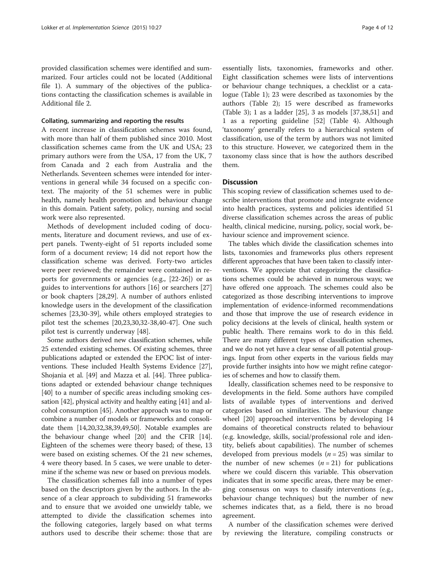provided classification schemes were identified and summarized. Four articles could not be located (Additional file [1\)](#page-9-0). A summary of the objectives of the publications contacting the classification schemes is available in Additional file [2.](#page-9-0)

## Collating, summarizing and reporting the results

A recent increase in classification schemes was found, with more than half of them published since 2010. Most classification schemes came from the UK and USA; 23 primary authors were from the USA, 17 from the UK, 7 from Canada and 2 each from Australia and the Netherlands. Seventeen schemes were intended for interventions in general while 34 focused on a specific context. The majority of the 51 schemes were in public health, namely health promotion and behaviour change in this domain. Patient safety, policy, nursing and social work were also represented.

Methods of development included coding of documents, literature and document reviews, and use of expert panels. Twenty-eight of 51 reports included some form of a document review; 14 did not report how the classification scheme was derived. Forty-two articles were peer reviewed; the remainder were contained in reports for governments or agencies (e.g., [[22-26\]](#page-10-0)) or as guides to interventions for authors [[16](#page-10-0)] or searchers [[27](#page-10-0)] or book chapters [[28,29\]](#page-10-0). A number of authors enlisted knowledge users in the development of the classification schemes [[23,30-39](#page-10-0)], while others employed strategies to pilot test the schemes [\[20,23,30,32-38](#page-10-0),[40](#page-10-0)-[47\]](#page-11-0). One such pilot test is currently underway [[48\]](#page-11-0).

Some authors derived new classification schemes, while 25 extended existing schemes. Of existing schemes, three publications adapted or extended the EPOC list of interventions. These included Health Systems Evidence [[27](#page-10-0)], Shojania et al. [[49\]](#page-11-0) and Mazza et al. [\[44\]](#page-11-0). Three publications adapted or extended behaviour change techniques [[40](#page-10-0)] to a number of specific areas including smoking cessation [\[42\]](#page-11-0), physical activity and healthy eating [[41](#page-10-0)] and alcohol consumption [\[45\]](#page-11-0). Another approach was to map or combine a number of models or frameworks and consolidate them [\[14,20,32,38,39,](#page-10-0)[49,50](#page-11-0)]. Notable examples are the behaviour change wheel [\[20](#page-10-0)] and the CFIR [[14](#page-10-0)]. Eighteen of the schemes were theory based; of these, 13 were based on existing schemes. Of the 21 new schemes, 4 were theory based. In 5 cases, we were unable to determine if the scheme was new or based on previous models.

The classification schemes fall into a number of types based on the descriptors given by the authors. In the absence of a clear approach to subdividing 51 frameworks and to ensure that we avoided one unwieldy table, we attempted to divide the classification schemes into the following categories, largely based on what terms authors used to describe their scheme: those that are essentially lists, taxonomies, frameworks and other. Eight classification schemes were lists of interventions or behaviour change techniques, a checklist or a catalogue (Table [1\)](#page-4-0); 23 were described as taxonomies by the authors (Table [2](#page-5-0)); 15 were described as frameworks (Table [3\)](#page-7-0); 1 as a ladder [[25\]](#page-10-0), 3 as models [\[37,38,](#page-10-0)[51\]](#page-11-0) and 1 as a reporting guideline [\[52](#page-11-0)] (Table [4](#page-9-0)). Although 'taxonomy' generally refers to a hierarchical system of classification, use of the term by authors was not limited to this structure. However, we categorized them in the taxonomy class since that is how the authors described them.

# **Discussion**

This scoping review of classification schemes used to describe interventions that promote and integrate evidence into health practices, systems and policies identified 51 diverse classification schemes across the areas of public health, clinical medicine, nursing, policy, social work, behaviour science and improvement science.

The tables which divide the classification schemes into lists, taxonomies and frameworks plus others represent different approaches that have been taken to classify interventions. We appreciate that categorizing the classifications schemes could be achieved in numerous ways; we have offered one approach. The schemes could also be categorized as those describing interventions to improve implementation of evidence-informed recommendations and those that improve the use of research evidence in policy decisions at the levels of clinical, health system or public health. There remains work to do in this field. There are many different types of classification schemes, and we do not yet have a clear sense of all potential groupings. Input from other experts in the various fields may provide further insights into how we might refine categories of schemes and how to classify them.

Ideally, classification schemes need to be responsive to developments in the field. Some authors have compiled lists of available types of interventions and derived categories based on similarities. The behaviour change wheel [\[20](#page-10-0)] approached interventions by developing 14 domains of theoretical constructs related to behaviour (e.g. knowledge, skills, social/professional role and identity, beliefs about capabilities). The number of schemes developed from previous models ( $n = 25$ ) was similar to the number of new schemes  $(n = 21)$  for publications where we could discern this variable. This observation indicates that in some specific areas, there may be emerging consensus on ways to classify interventions (e.g., behaviour change techniques) but the number of new schemes indicates that, as a field, there is no broad agreement.

A number of the classification schemes were derived by reviewing the literature, compiling constructs or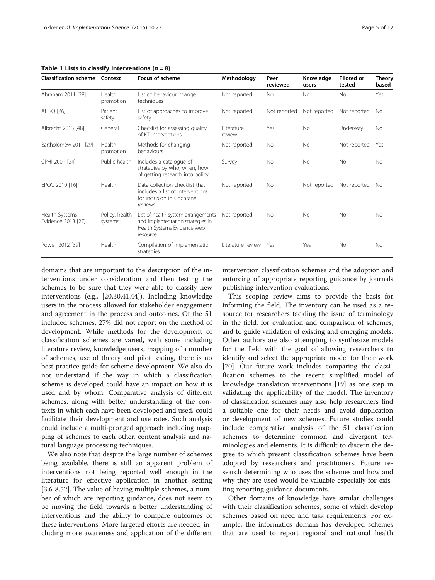Table 1 Lists to classify interventions  $(n = 8)$ 

<span id="page-4-0"></span>

| Table 1 Lists to classify interventions $(n = 8)$ |                     |                                        |              |                  |                    |                      |                        |
|---------------------------------------------------|---------------------|----------------------------------------|--------------|------------------|--------------------|----------------------|------------------------|
| <b>Classification scheme Context</b>              |                     | Focus of scheme                        | Methodology  | Peer<br>reviewed | Knowledge<br>users | Piloted or<br>tested | <b>Theory</b><br>based |
| Abraham 2011 [28]                                 | Health<br>promotion | List of behaviour change<br>techniques | Not reported | No.              | Nο                 | Nο                   | Yes                    |

| AVIAHAHI ZVII JZOJ                   | TCGUU<br>promotion        | בואג טו טכוומאוטעו כוומוועכ<br>techniques                                                                         | <b>INAL ICPAILEA</b> | 1 N U        | 1 Y U        | 1 VU         | 1 C.S |
|--------------------------------------|---------------------------|-------------------------------------------------------------------------------------------------------------------|----------------------|--------------|--------------|--------------|-------|
| AHRQ [26]                            | Patient<br>safety         | List of approaches to improve<br>safety                                                                           | Not reported         | Not reported | Not reported | Not reported | No    |
| Albrecht 2013 [48]                   | General                   | Checklist for assessing quality<br>of KT interventions                                                            | Literature<br>review | Yes          | <b>No</b>    | Underway     | No    |
| Bartholomew 2011 [29]                | Health<br>promotion       | Methods for changing<br>behaviours                                                                                | Not reported         | No.          | <b>No</b>    | Not reported | Yes   |
| CPHI 2001 [24]                       | Public health             | Includes a catalogue of<br>strategies by who, when, how<br>of getting research into policy                        | Survey               | No           | <b>No</b>    | <b>No</b>    | No    |
| EPOC 2010 [16]                       | Health                    | Data collection checklist that<br>includes a list of interventions<br>for inclusion in Cochrane<br>reviews        | Not reported         | No           | Not reported | Not reported | No    |
| Health Systems<br>Evidence 2013 [27] | Policy, health<br>systems | List of health system arrangements<br>and implementation strategies in<br>Health Systems Evidence web<br>resource | Not reported         | No.          | <b>No</b>    | <b>No</b>    | No.   |
| Powell 2012 [39]                     | Health                    | Compilation of implementation<br>strategies                                                                       | Literature review    | Yes          | Yes          | <b>No</b>    | No.   |
|                                      |                           |                                                                                                                   |                      |              |              |              |       |

domains that are important to the description of the interventions under consideration and then testing the schemes to be sure that they were able to classify new interventions (e.g., [\[20,30,41,](#page-10-0)[44\]](#page-11-0)). Including knowledge users in the process allowed for stakeholder engagement and agreement in the process and outcomes. Of the 51 included schemes, 27% did not report on the method of development. While methods for the development of classification schemes are varied, with some including literature review, knowledge users, mapping of a number of schemes, use of theory and pilot testing, there is no best practice guide for scheme development. We also do not understand if the way in which a classification scheme is developed could have an impact on how it is used and by whom. Comparative analysis of different schemes, along with better understanding of the contexts in which each have been developed and used, could facilitate their development and use rates. Such analysis could include a multi-pronged approach including mapping of schemes to each other, content analysis and natural language processing techniques.

We also note that despite the large number of schemes being available, there is still an apparent problem of interventions not being reported well enough in the literature for effective application in another setting [[3,6-8](#page-10-0)[,52](#page-11-0)]. The value of having multiple schemes, a number of which are reporting guidance, does not seem to be moving the field towards a better understanding of interventions and the ability to compare outcomes of these interventions. More targeted efforts are needed, including more awareness and application of the different intervention classification schemes and the adoption and enforcing of appropriate reporting guidance by journals publishing intervention evaluations.

This scoping review aims to provide the basis for informing the field. The inventory can be used as a resource for researchers tackling the issue of terminology in the field, for evaluation and comparison of schemes, and to guide validation of existing and emerging models. Other authors are also attempting to synthesize models for the field with the goal of allowing researchers to identify and select the appropriate model for their work [[70\]](#page-11-0). Our future work includes comparing the classification schemes to the recent simplified model of knowledge translation interventions [\[19](#page-10-0)] as one step in validating the applicability of the model. The inventory of classification schemes may also help researchers find a suitable one for their needs and avoid duplication or development of new schemes. Future studies could include comparative analysis of the 51 classification schemes to determine common and divergent terminologies and elements. It is difficult to discern the degree to which present classification schemes have been adopted by researchers and practitioners. Future research determining who uses the schemes and how and why they are used would be valuable especially for existing reporting guidance documents.

Other domains of knowledge have similar challenges with their classification schemes, some of which develop schemes based on need and task requirements. For example, the informatics domain has developed schemes that are used to report regional and national health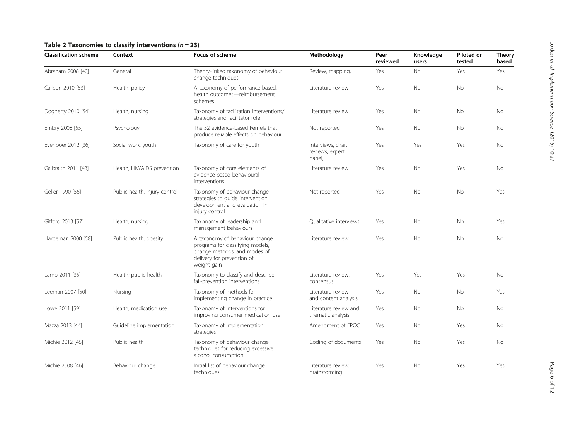# <span id="page-5-0"></span>Table 2 Taxonomies to classify interventions  $(n = 23)$

| <b>Classification scheme</b> | Context                       | Focus of scheme                                                                                                                                 | Methodology                                    | Peer<br>reviewed | Knowledge<br>users | Piloted or<br>tested | <b>Theory</b><br>based |
|------------------------------|-------------------------------|-------------------------------------------------------------------------------------------------------------------------------------------------|------------------------------------------------|------------------|--------------------|----------------------|------------------------|
| Abraham 2008 [40]            | General                       | Theory-linked taxonomy of behaviour<br>change techniques                                                                                        | Review, mapping,                               | Yes              | <b>No</b>          | Yes                  | Yes                    |
| Carlson 2010 [53]            | Health, policy                | A taxonomy of performance-based,<br>health outcomes-reimbursement<br>schemes                                                                    | Literature review                              | Yes              | <b>No</b>          | <b>No</b>            | <b>No</b>              |
| Dogherty 2010 [54]           | Health, nursing               | Taxonomy of facilitation interventions/<br>strategies and facilitator role                                                                      | Literature review                              | Yes              | No                 | No                   | No                     |
| Embry 2008 [55]              | Psychology                    | The 52 evidence-based kernels that<br>produce reliable effects on behaviour                                                                     | Not reported                                   | Yes              | <b>No</b>          | <b>No</b>            | <b>No</b>              |
| Evenboer 2012 [36]           | Social work, youth            | Taxonomy of care for youth                                                                                                                      | Interviews, chart<br>reviews, expert<br>panel, | Yes              | Yes                | Yes                  | No                     |
| Galbraith 2011 [43]          | Health, HIV/AIDS prevention   | Taxonomy of core elements of<br>evidence-based behavioural<br>interventions                                                                     | Literature review                              | Yes              | No                 | Yes                  | No                     |
| Geller 1990 [56]             | Public health, injury control | Taxonomy of behaviour change<br>strategies to guide intervention<br>development and evaluation in<br>injury control                             | Not reported                                   | Yes              | No                 | No                   | Yes                    |
| Gifford 2013 [57]            | Health, nursing               | Taxonomy of leadership and<br>management behaviours                                                                                             | Qualitative interviews                         | Yes              | No                 | No                   | Yes                    |
| Hardeman 2000 [58]           | Public health, obesity        | A taxonomy of behaviour change<br>programs for classifying models,<br>change methods, and modes of<br>delivery for prevention of<br>weight gain | Literature review                              | Yes              | <b>No</b>          | <b>No</b>            | <b>No</b>              |
| Lamb 2011 [35]               | Health; public health         | Taxonomy to classify and describe<br>fall-prevention interventions                                                                              | Literature review,<br>consensus                | Yes              | Yes                | Yes                  | <b>No</b>              |
| Leeman 2007 [50]             | Nursing                       | Taxonomy of methods for<br>implementing change in practice                                                                                      | Literature review<br>and content analysis      | Yes              | No                 | No                   | Yes                    |
| Lowe 2011 [59]               | Health; medication use        | Taxonomy of interventions for<br>improving consumer medication use                                                                              | Literature review and<br>thematic analysis     | Yes              | <b>No</b>          | No                   | No                     |
| Mazza 2013 [44]              | Guideline implementation      | Taxonomy of implementation<br>strategies                                                                                                        | Amendment of EPOC                              | Yes              | No                 | Yes                  | No                     |
| Michie 2012 [45]             | Public health                 | Taxonomy of behaviour change<br>techniques for reducing excessive<br>alcohol consumption                                                        | Coding of documents                            | Yes              | <b>No</b>          | Yes                  | <b>No</b>              |
| Michie 2008 [46]             | Behaviour change              | Initial list of behaviour change<br>techniques                                                                                                  | Literature review,<br>brainstorming            | Yes              | <b>No</b>          | Yes                  | Yes                    |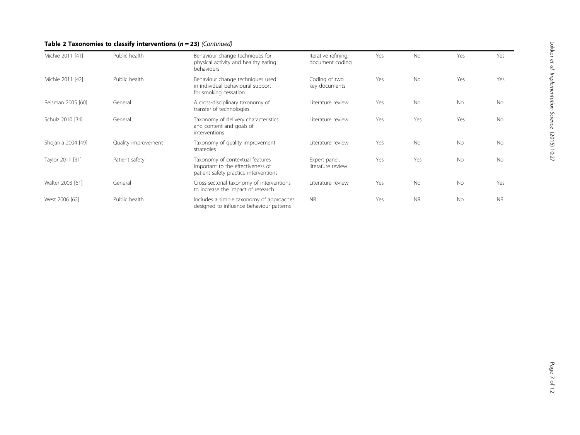# Table 2 Taxonomies to classify interventions ( $n = 23$ ) (Continued)

| Michie 2011 [41]   | Public health       | Behaviour change techniques for<br>physical activity and healthy eating<br>behaviours                         | Iterative refining;<br>document coding | Yes | <b>No</b> | Yes       | Yes       |
|--------------------|---------------------|---------------------------------------------------------------------------------------------------------------|----------------------------------------|-----|-----------|-----------|-----------|
| Michie 2011 [42]   | Public health       | Behaviour change techniques used<br>in individual behavioural support<br>for smoking cessation                | Coding of two<br>key documents         | Yes | <b>No</b> | Yes       | Yes       |
| Reisman 2005 [60]  | General             | A cross-disciplinary taxonomy of<br>transfer of technologies                                                  | Literature review                      | Yes | <b>No</b> | <b>No</b> | <b>No</b> |
| Schulz 2010 [34]   | General             | Taxonomy of delivery characteristics<br>and content and goals of<br>interventions                             | Literature review                      | Yes | Yes       | Yes       | <b>No</b> |
| Shojania 2004 [49] | Quality improvement | Taxonomy of quality improvement<br>strategies                                                                 | Literature review                      | Yes | <b>No</b> | No        | No        |
| Taylor 2011 [31]   | Patient safety      | Taxonomy of contextual features<br>important to the effectiveness of<br>patient safety practice interventions | Expert panel,<br>literature review     | Yes | Yes       | <b>No</b> | No        |
| Walter 2003 [61]   | General             | Cross-sectorial taxonomy of interventions<br>to increase the impact of research                               | Literature review                      | Yes | <b>No</b> | No        | Yes       |
| West 2006 [62]     | Public health       | Includes a simple taxonomy of approaches<br>designed to influence behaviour patterns                          | <b>NR</b>                              | Yes | <b>NR</b> | <b>No</b> | <b>NR</b> |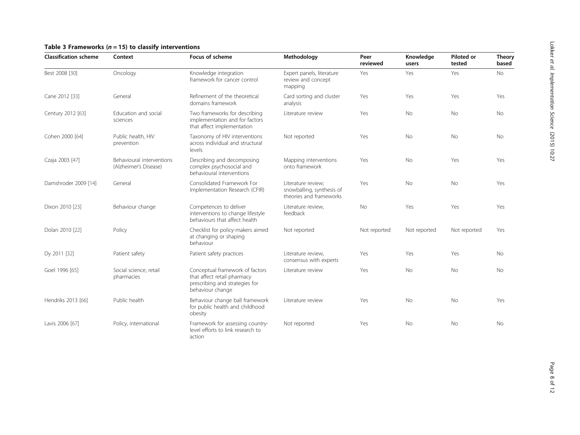# <span id="page-7-0"></span>Table 3 Frameworks ( $n = 15$ ) to classify interventions

| <b>Classification scheme</b> | Context                                            | Focus of scheme                                                                                                      | Methodology                                                                | Peer<br>reviewed | Knowledge<br>users | Piloted or<br>tested | <b>Theory</b><br>based |
|------------------------------|----------------------------------------------------|----------------------------------------------------------------------------------------------------------------------|----------------------------------------------------------------------------|------------------|--------------------|----------------------|------------------------|
| Best 2008 [30]               | Oncology                                           | Knowledge integration<br>framework for cancer control                                                                | Expert panels, literature<br>review and concept<br>mapping                 | Yes              | Yes                | Yes                  | <b>No</b>              |
| Cane 2012 [33]               | General                                            | Refinement of the theoretical<br>domains framework                                                                   | Card sorting and cluster<br>analysis                                       | Yes              | Yes                | Yes                  | Yes                    |
| Century 2012 [63]            | Education and social<br>sciences                   | Two frameworks for describing<br>implementation and for factors<br>that affect implementation                        | Literature review                                                          | Yes              | <b>No</b>          | <b>No</b>            | <b>No</b>              |
| Cohen 2000 [64]              | Public health, HIV<br>prevention                   | Taxonomy of HIV interventions<br>across individual and structural<br>levels                                          | Not reported                                                               | Yes              | <b>No</b>          | <b>No</b>            | <b>No</b>              |
| Czaja 2003 [47]              | Behavioural interventions<br>(Alzheimer's Disease) | Describing and decomposing<br>complex psychosocial and<br>behavioural interventions                                  | Mapping interventions<br>onto framework                                    | Yes              | <b>No</b>          | Yes                  | Yes                    |
| Damshroder 2009 [14]         | General                                            | Consolidated Framework For<br>Implementation Research (CFIR)                                                         | Literature review:<br>snowballing, synthesis of<br>theories and frameworks | Yes              | <b>No</b>          | <b>No</b>            | Yes                    |
| Dixon 2010 [23]              | Behaviour change                                   | Competences to deliver<br>interventions to change lifestyle<br>behaviours that affect health                         | Literature review,<br>feedback                                             | <b>No</b>        | Yes                | Yes                  | Yes                    |
| Dolan 2010 [22]              | Policy                                             | Checklist for policy-makers aimed<br>at changing or shaping<br>behaviour                                             | Not reported                                                               | Not reported     | Not reported       | Not reported         | Yes                    |
| Dy 2011 [32]                 | Patient safety                                     | Patient safety practices                                                                                             | Literature review,<br>consensus with experts                               | Yes              | Yes                | Yes                  | <b>No</b>              |
| Goel 1996 [65]               | Social science, retail<br>pharmacies               | Conceptual framework of factors<br>that affect retail pharmacy<br>prescribing and strategies for<br>behaviour change | Literature review                                                          | Yes              | <b>No</b>          | <b>No</b>            | <b>No</b>              |
| Hendriks 2013 [66]           | Public health                                      | Behaviour change ball framework<br>for public health and childhood<br>obesity                                        | Literature review                                                          | Yes              | No                 | No                   | Yes                    |
| Lavis 2006 [67]              | Policy, international                              | Framework for assessing country-<br>level efforts to link research to<br>action                                      | Not reported                                                               | Yes              | <b>No</b>          | <b>No</b>            | <b>No</b>              |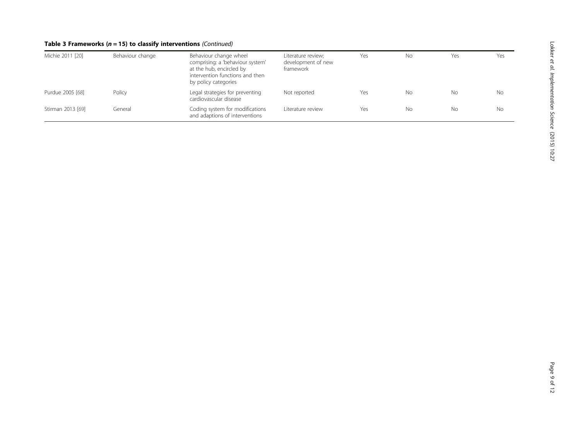| Table 3 Frameworks ( $n = 15$ ) to classify interventions (Continued) |  |  |  |
|-----------------------------------------------------------------------|--|--|--|
|-----------------------------------------------------------------------|--|--|--|

| Michie 2011 [20]  | Behaviour change | Behaviour change wheel<br>comprising: a 'behaviour system'<br>at the hub, encircled by<br>intervention functions and then<br>by policy categories | Literature review:<br>development of new<br>framework | Yes | <b>No</b> | Yes | Yes       |
|-------------------|------------------|---------------------------------------------------------------------------------------------------------------------------------------------------|-------------------------------------------------------|-----|-----------|-----|-----------|
| Purdue 2005 [68]  | Policy           | Legal strategies for preventing<br>cardiovascular disease                                                                                         | Not reported                                          | Yes | No        | No  | <b>No</b> |
| Stirman 2013 [69] | General          | Coding system for modifications<br>and adaptions of interventions                                                                                 | Literature review                                     | Yes | No        | No  | <b>No</b> |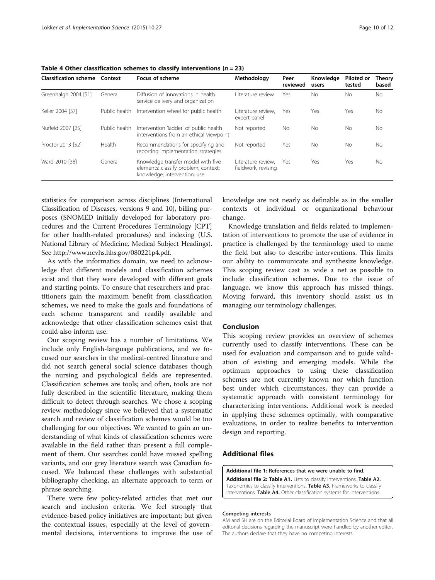| <b>Classification scheme</b> | Context       | <b>Focus of scheme</b>                                                                                     | Methodoloav                               | Peer<br>reviewed | Knowledae<br>users | <b>Piloted or</b><br>tested | <b>Theory</b><br>based |
|------------------------------|---------------|------------------------------------------------------------------------------------------------------------|-------------------------------------------|------------------|--------------------|-----------------------------|------------------------|
| Greenhalgh 2004 [51]         | General       | Diffusion of innovations in health<br>service delivery and organization                                    | Literature review                         | Yes              | <b>No</b>          | No.                         | No.                    |
| Keller 2004 [37]             | Public health | Intervention wheel for public health                                                                       | Literature review.<br>expert panel        | Yes              | Yes                | Yes                         | No.                    |
| Nuffeld 2007 [25]            | Public health | Intervention 'ladder' of public health<br>interventions from an ethical viewpoint                          | Not reported                              | No.              | No                 | No.                         | <b>No</b>              |
| Proctor 2013 [52]            | Health        | Recommendations for specifying and<br>reporting implementation strategies                                  | Not reported                              | Yes              | No                 | No.                         | <b>No</b>              |
| Ward 2010 [38]               | General       | Knowledge transfer model with five<br>elements: classify problem; context;<br>knowledge; intervention; use | Literature review.<br>fieldwork, revising | Yes              | Yes                | Yes                         | <b>No</b>              |

<span id="page-9-0"></span>Table 4 Other classification schemes to classify interventions ( $n = 23$ )

statistics for comparison across disciplines (International Classification of Diseases, versions 9 and 10), billing purposes (SNOMED initially developed for laboratory procedures and the Current Procedures Terminology [CPT] for other health-related procedures) and indexing (U.S. National Library of Medicine, Medical Subject Headings). See<http://www.ncvhs.hhs.gov/080221p4.pdf>.

As with the informatics domain, we need to acknowledge that different models and classification schemes exist and that they were developed with different goals and starting points. To ensure that researchers and practitioners gain the maximum benefit from classification schemes, we need to make the goals and foundations of each scheme transparent and readily available and acknowledge that other classification schemes exist that could also inform use.

Our scoping review has a number of limitations. We include only English-language publications, and we focused our searches in the medical-centred literature and did not search general social science databases though the nursing and psychological fields are represented. Classification schemes are tools; and often, tools are not fully described in the scientific literature, making them difficult to detect through searches. We chose a scoping review methodology since we believed that a systematic search and review of classification schemes would be too challenging for our objectives. We wanted to gain an understanding of what kinds of classification schemes were available in the field rather than present a full complement of them. Our searches could have missed spelling variants, and our grey literature search was Canadian focused. We balanced these challenges with substantial bibliography checking, an alternate approach to term or phrase searching.

There were few policy-related articles that met our search and inclusion criteria. We feel strongly that evidence-based policy initiatives are important; but given the contextual issues, especially at the level of governmental decisions, interventions to improve the use of

knowledge are not nearly as definable as in the smaller contexts of individual or organizational behaviour change.

Knowledge translation and fields related to implementation of interventions to promote the use of evidence in practice is challenged by the terminology used to name the field but also to describe interventions. This limits our ability to communicate and synthesize knowledge. This scoping review cast as wide a net as possible to include classification schemes. Due to the issue of language, we know this approach has missed things. Moving forward, this inventory should assist us in managing our terminology challenges.

# Conclusion

This scoping review provides an overview of schemes currently used to classify interventions. These can be used for evaluation and comparison and to guide validation of existing and emerging models. While the optimum approaches to using these classification schemes are not currently known nor which function best under which circumstances, they can provide a systematic approach with consistent terminology for characterizing interventions. Additional work is needed in applying these schemes optimally, with comparative evaluations, in order to realize benefits to intervention design and reporting.

# Additional files

[Additional file 1:](http://www.implementationscience.com/content/supplementary/s13012-015-0220-6-s1.docx) References that we were unable to find. [Additional file 2: Table A1.](http://www.implementationscience.com/content/supplementary/s13012-015-0220-6-s2.docx) Lists to classify interventions. Table A2. Taxonomies to classify interventions. Table A3. Frameworks to classify interventions. Table A4. Other classification systems for interventions.

#### Competing interests

AM and SH are on the Editorial Board of Implementation Science and that all editorial decisions regarding the manuscript were handled by another editor. The authors declare that they have no competing interests.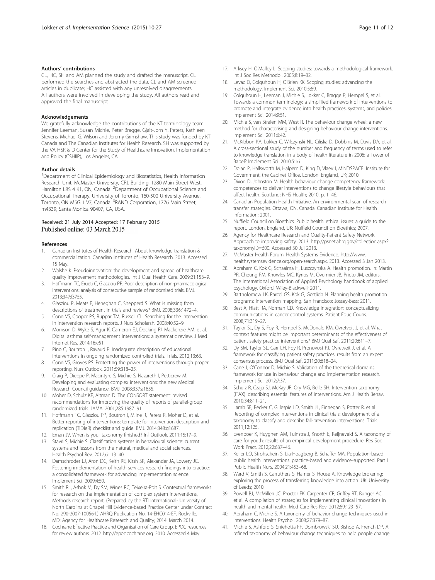#### <span id="page-10-0"></span>Authors' contributions

CL, HC, SH and AM planned the study and drafted the manuscript. CL performed the searches and abstracted the data. CL and AM screened articles in duplicate; HC assisted with any unresolved disagreements. All authors were involved in developing the study. All authors read and approved the final manuscript.

# Acknowledgements

We gratefully acknowledge the contributions of the KT terminology team Jennifer Leeman, Susan Michie, Peter Bragge, Gjalt-Jorn Y. Peters, Kathleen Stevens, Michael G. Wilson and Jeremy Grimshaw. This study was funded by KT Canada and The Canadian Institutes for Health Research. SH was supported by the VA HSR & D Center for the Study of Healthcare Innovation, Implementation and Policy (CSHIIP), Los Angeles, CA.

#### Author details

<sup>1</sup>Department of Clinical Epidemiology and Biostatistics, Health Information Research Unit, McMaster University, CRL Building, 1280 Main Street West, Hamilton L8S 4 K1, ON, Canada. <sup>2</sup>Department of Occupational Science and Occupational Therapy, University of Toronto, 160-500 University Avenue, Toronto, ON M5G 1 V7, Canada. <sup>3</sup>RAND Corporation, 1776 Main Street, m4339, Santa Monica 90407, CA, USA.

## Received: 21 July 2014 Accepted: 17 February 2015 Published online: 03 March 2015

#### References

- 1. Canadian Institutes of Health Research. About knowledge translation & commercialization. Canadian Institutes of Health Research. 2013. Accessed 15 May.
- 2. Walshe K. Pseudoinnovation: the development and spread of healthcare quality improvement methodologies. Int J Qual Health Care. 2009;21:153–9.
- 3. Hoffmann TC, Erueti C, Glasziou PP. Poor description of non-pharmacological interventions: analysis of consecutive sample of randomised trials. BMJ. 2013;347:f3755.
- 4. Glasziou P, Meats E, Heneghan C, Shepperd S. What is missing from descriptions of treatment in trials and reviews? BMJ. 2008;336:1472–4.
- 5. Conn VS, Cooper PS, Ruppar TM, Russell CL. Searching for the intervention in intervention research reports. J Nurs Scholarsh. 2008;40:52–9.
- 6. Morrison D, Wyke S, Agur K, Cameron EJ, Docking RI, Mackenzie AM, et al. Digital asthma self-management interventions: a systematic review. J Med Internet Res. 2014;16:e51.
- 7. Pino C, Boutron I, Ravaud P. Inadequate description of educational interventions in ongoing randomized controlled trials. Trials. 2012;13:63.
- 8. Conn VS, Groves PS. Protecting the power of interventions through proper reporting. Nurs Outlook. 2011;59:318–25.
- 9. Craig P, Dieppe P, Macintyre S, Michie S, Nazareth I, Petticrew M. Developing and evaluating complex interventions: the new Medical Research Council guidance. BMJ. 2008;337:a1655.
- 10. Moher D, Schulz KF, Altman D. The CONSORT statement: revised recommendations for improving the quality of reports of parallel-group randomized trials. JAMA. 2001;285:1987–91.
- 11. Hoffmann TC, Glasziou PP, Boutron I, Milne R, Perera R, Moher D, et al. Better reporting of interventions: template for intervention description and replication (TIDieR) checklist and guide. BMJ. 2014;348:g1687.
- 12. Eman JV. When is your taxonomy finished? Inf Outlook. 2011;15:17–9.
- 13. Stavri S, Michie S. Classification systems in behavioural science: current systems and lessons from the natural, medical and social sciences. Health Psychol Rev. 2012;6:113–40.
- 14. Damschroder LJ, Aron DC, Keith RE, Kirsh SR, Alexander JA, Lowery JC. Fostering implementation of health services research findings into practice: a consolidated framework for advancing implementation science. Implement Sci. 2009;4:50.
- 15. Smith RL, Ashok M, Dy SM, Wines RC, Teixeira-Poit S. Contextual frameworks for research on the implementation of complex system interventions, Methods research report, (Prepared by the RTI International- University of North Carolina at Chapel Hill Evidence-based Practice Center under Contract No. 290-2007-10056-I.) AHRQ Publication No. 14-EHC014-EF. Rockville, MD: Agency for Healthcare Research and Quality; 2014. March 2014.
- 16. Cochrane Effective Practice and Organisation of Care Group. EPOC resources for review authors. 2012. [http://epoc.cochrane.org.](http://epoc.cochrane.org/) 2010. Accessed 4 May.
- 17. Arksey H, O'Malley L. Scoping studies: towards a methodological framework. Int J Soc Res Methodol. 2005;8:19–32.
- 18. Levac D, Colquhoun H, O'Brien KK. Scoping studies: advancing the methodology. Implement Sci. 2010;5:69.
- 19. Colquhoun H, Leeman J, Michie S, Lokker C, Bragge P, Hempel S, et al. Towards a common terminology: a simplified framework of interventions to promote and integrate evidence into health practices, systems, and policies. Implement Sci. 2014;9:51.
- 20. Michie S, van Stralen MM, West R. The behaviour change wheel: a new method for characterising and designing behaviour change interventions. Implement Sci. 2011;6:42.
- 21. McKibbon KA, Lokker C, Wilczynski NL, Ciliska D, Dobbins M, Davis DA, et al. A cross-sectional study of the number and frequency of terms used to refer to knowledge translation in a body of health literature in 2006: a Tower of Babel? Implement Sci. 2010;5:16.
- 22. Dolan P, Hallsworth M, Halpern D, King D, Vlaev I, MINDSPACE. Institute for Government, the Cabinet Office. London: England, UK; 2010.
- 23. Dixon D, Johnston M. Health behaviour change competency framework: competences to deliver interventions to change lifestyle behaviours that affect health. Scotland: NHS Health; 2010. p. 1–46.
- 24. Canadian Population Health Initiative. An environmental scan of research transfer strategies. Ottawa, ON, Canada: Canadian Institute for Health Information; 2001.
- 25. Nuffield Council on Bioethics. Public health: ethical issues: a guide to the report. London, England, UK: Nuffield Council on Bioethics; 2007.
- 26. Agency for Healthcare Research and Quality-Patient Safety Network. Approach to improving safety. 2013. [http://psnet.ahrq.gov/collection.aspx?](http://psnet.ahrq.gov/collection.aspx?taxonomyID=600) [taxonomyID=600.](http://psnet.ahrq.gov/collection.aspx?taxonomyID=600) Accessed 30 Jul 2013.
- 27. McMaster Health Forum. Health Systems Evidence. [http://www.](http://www.healthsystemsevidence.org/open-search.aspx) [healthsystemsevidence.org/open-search.aspx.](http://www.healthsystemsevidence.org/open-search.aspx) 2013. Accessed 3 Jan 2013.
- 28. Abraham C, Kok G, Schaalma H, Luszczynska A. Health promotion. In: Martin PR, Cheung FM, Knowles MC, Kyrios M, Overmier JB, Prieto JM, editors. The International Association of Applied Psychology handbook of applied psychology. Oxford: Wiley-Blackwell; 2011.
- 29. Bartholomew LK, Parcel GS, Kok G, Gottlieb N. Planning health promotion programs: intervention mapping. San Francisco: Jossey-Bass; 2011.
- 30. Best A, Hiatt RA, Norman CD. Knowledge integration: conceptualizing communications in cancer control systems. Patient Educ Couns. 2008;71:319–27.
- 31. Taylor SL, Dy S, Foy R, Hempel S, McDonald KM, Ovretveit J, et al. What context features might be important determinants of the effectiveness of patient safety practice interventions? BMJ Qual Saf. 2011;20:611–7.
- 32. Dy SM, Taylor SL, Carr LH, Foy R, Pronovost PJ, Ovretveit J, et al. A framework for classifying patient safety practices: results from an expert consensus process. BMJ Qual Saf. 2011;20:618–24.
- 33. Cane J, O'Connor D, Michie S. Validation of the theoretical domains framework for use in behaviour change and implementation research. Implement Sci. 2012;7:37.
- 34. Schulz R, Czaja SJ, McKay JR, Ory MG, Belle SH. Intervention taxonomy (ITAX): describing essential features of interventions. Am J Health Behav. 2010;34:811–21.
- 35. Lamb SE, Becker C, Gillespie LD, Smith JL, Finnegan S, Potter R, et al. Reporting of complex interventions in clinical trials: development of a taxonomy to classify and describe fall-prevention interventions. Trials. 2011;12:125.
- 36. Evenboer K, Huyghen AM, Tuinstra J, Knorth E, Reijneveld S. A taxonomy of care for youth: results of an empirical development procedure. Res Soc Work Pract. 2012;22:637–46.
- 37. Keller LO, Strohschein S, Lia-Hoagberg B, Schaffer MA. Population-based public health interventions: practice-based and evidence-supported. Part I Public Health Nurs. 2004;21:453–68.
- 38. Ward V, Smith S, Carruthers S, Hamer S, House A. Knowledge brokering: exploring the process of transferring knowledge into action. UK: University of Leeds; 2010.
- 39. Powell BJ, McMillen JC, Proctor EK, Carpenter CR, Griffey RT, Bunger AC, et al. A compilation of strategies for implementing clinical innovations in health and mental health. Med Care Res Rev. 2012;69:123–57.
- 40. Abraham C, Michie S. A taxonomy of behavior change techniques used in interventions. Health Psychol. 2008;27:379–87.
- 41. Michie S, Ashford S, Sniehotta FF, Dombrowski SU, Bishop A, French DP. A refined taxonomy of behaviour change techniques to help people change